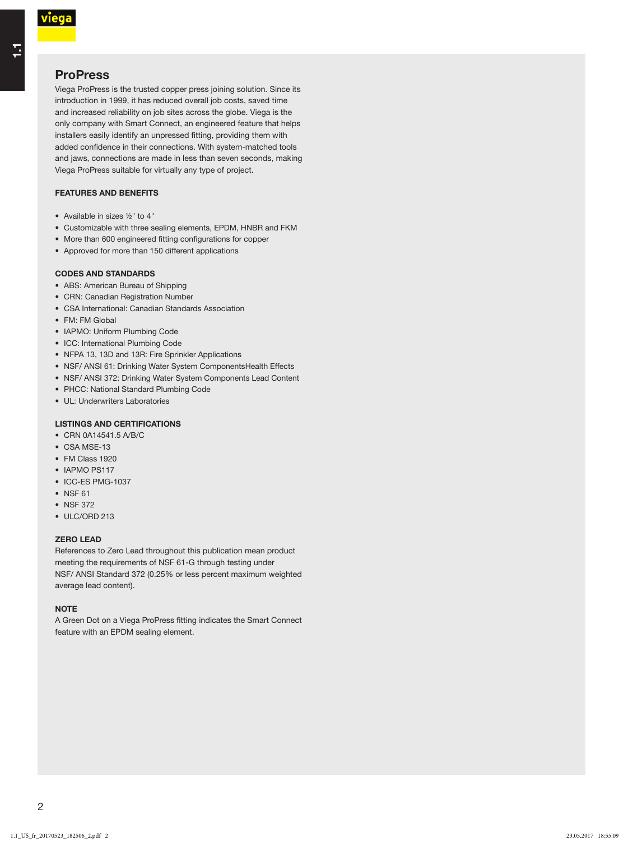۳,

# **ProPress**

Viega ProPress is the trusted copper press joining solution. Since its introduction in 1999, it has reduced overall job costs, saved time and increased reliability on job sites across the globe. Viega is the only company with Smart Connect, an engineered feature that helps installers easily identify an unpressed fitting, providing them with added confidence in their connections. With system-matched tools and jaws, connections are made in less than seven seconds, making Viega ProPress suitable for virtually any type of project.

### FEATURES AND BENEFITS

- Available in sizes ½" to 4"
- Customizable with three sealing elements, EPDM, HNBR and FKM
- More than 600 engineered fitting configurations for copper
- Approved for more than 150 different applications

### CODES AND STANDARDS

- ABS: American Bureau of Shipping
- CRN: Canadian Registration Number
- CSA International: Canadian Standards Association
- FM: FM Global
- IAPMO: Uniform Plumbing Code
- ICC: International Plumbing Code
- NFPA 13, 13D and 13R: Fire Sprinkler Applications
- NSF/ ANSI 61: Drinking Water System ComponentsHealth Effects
- NSF/ ANSI 372: Drinking Water System Components Lead Content
- PHCC: National Standard Plumbing Code
- UL: Underwriters Laboratories

### LISTINGS AND CERTIFICATIONS

- CRN 0A14541.5 A/B/C
- CSA MSE-13
- FM Class 1920
- IAPMO PS117
- ICC-ES PMG-1037
- NSF 61
- NSF 372
- ULC/ORD 213

#### ZERO LEAD

References to Zero Lead throughout this publication mean product meeting the requirements of NSF 61-G through testing under-NSF/ ANSI Standard 372 (0.25% or less percent maximum weighted average lead content).

### **NOTE**

A Green Dot on a Viega ProPress fitting indicates the Smart Connect feature with an EPDM sealing element.